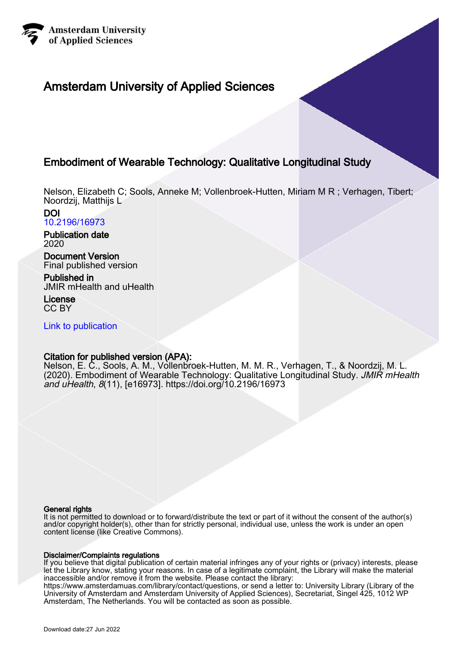

# Amsterdam University of Applied Sciences

# Embodiment of Wearable Technology: Qualitative Longitudinal Study

Nelson, Elizabeth C; Sools, Anneke M; Vollenbroek-Hutten, Miriam M R ; Verhagen, Tibert; Noordzij, Matthijs L

#### DOI [10.2196/16973](https://doi.org/10.2196/16973)

Publication date 2020

# Document Version

Final published version

Published in JMIR mHealth and uHealth

License CC BY

[Link to publication](https://research.hva.nl/en/publications/31dd9ea5-c3dd-40bf-b100-8a0d915f00fe)

## Citation for published version (APA):

Nelson, E. C., Sools, A. M., Vollenbroek-Hutten, M. M. R., Verhagen, T., & Noordzij, M. L. (2020). Embodiment of Wearable Technology: Qualitative Longitudinal Study. JMIR mHealth and uHealth, 8(11), [e16973].<https://doi.org/10.2196/16973>

#### General rights

It is not permitted to download or to forward/distribute the text or part of it without the consent of the author(s) and/or copyright holder(s), other than for strictly personal, individual use, unless the work is under an open content license (like Creative Commons).

#### Disclaimer/Complaints regulations

If you believe that digital publication of certain material infringes any of your rights or (privacy) interests, please let the Library know, stating your reasons. In case of a legitimate complaint, the Library will make the material inaccessible and/or remove it from the website. Please contact the library:

https://www.amsterdamuas.com/library/contact/questions, or send a letter to: University Library (Library of the University of Amsterdam and Amsterdam University of Applied Sciences), Secretariat, Singel 425, 1012 WP Amsterdam, The Netherlands. You will be contacted as soon as possible.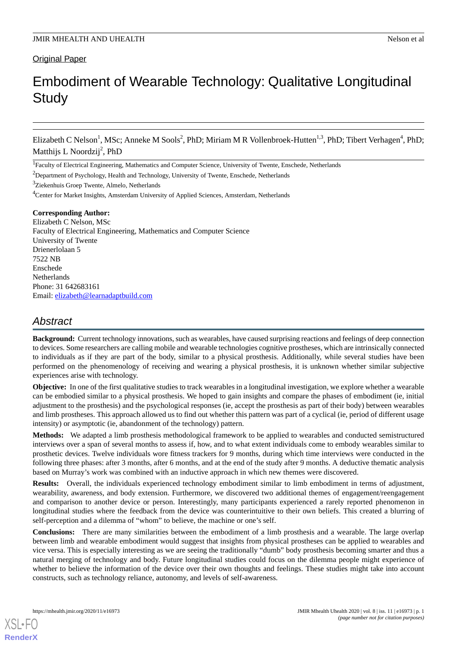### **Original Paper**

# Embodiment of Wearable Technology: Qualitative Longitudinal **Study**

Elizabeth C Nelson<sup>1</sup>, MSc; Anneke M Sools<sup>2</sup>, PhD; Miriam M R Vollenbroek-Hutten<sup>1,3</sup>, PhD; Tibert Verhagen<sup>4</sup>, PhD; Matthijs L Noordzij<sup>2</sup>, PhD

<sup>1</sup> Faculty of Electrical Engineering, Mathematics and Computer Science, University of Twente, Enschede, Netherlands

<sup>2</sup>Department of Psychology, Health and Technology, University of Twente, Enschede, Netherlands

<sup>3</sup>Ziekenhuis Groep Twente, Almelo, Netherlands

<sup>4</sup>Center for Market Insights, Amsterdam University of Applied Sciences, Amsterdam, Netherlands

#### **Corresponding Author:**

Elizabeth C Nelson, MSc Faculty of Electrical Engineering, Mathematics and Computer Science University of Twente Drienerlolaan 5 7522 NB Enschede Netherlands Phone: 31 642683161 Email: [elizabeth@learnadaptbuild.com](mailto:elizabeth@learnadaptbuild.com)

## *Abstract*

**Background:** Current technology innovations, such as wearables, have caused surprising reactions and feelings of deep connection to devices. Some researchers are calling mobile and wearable technologies cognitive prostheses, which are intrinsically connected to individuals as if they are part of the body, similar to a physical prosthesis. Additionally, while several studies have been performed on the phenomenology of receiving and wearing a physical prosthesis, it is unknown whether similar subjective experiences arise with technology.

**Objective:** In one of the first qualitative studies to track wearables in a longitudinal investigation, we explore whether a wearable can be embodied similar to a physical prosthesis. We hoped to gain insights and compare the phases of embodiment (ie, initial adjustment to the prosthesis) and the psychological responses (ie, accept the prosthesis as part of their body) between wearables and limb prostheses. This approach allowed us to find out whether this pattern was part of a cyclical (ie, period of different usage intensity) or asymptotic (ie, abandonment of the technology) pattern.

**Methods:** We adapted a limb prosthesis methodological framework to be applied to wearables and conducted semistructured interviews over a span of several months to assess if, how, and to what extent individuals come to embody wearables similar to prosthetic devices. Twelve individuals wore fitness trackers for 9 months, during which time interviews were conducted in the following three phases: after 3 months, after 6 months, and at the end of the study after 9 months. A deductive thematic analysis based on Murray's work was combined with an inductive approach in which new themes were discovered.

**Results:** Overall, the individuals experienced technology embodiment similar to limb embodiment in terms of adjustment, wearability, awareness, and body extension. Furthermore, we discovered two additional themes of engagement/reengagement and comparison to another device or person. Interestingly, many participants experienced a rarely reported phenomenon in longitudinal studies where the feedback from the device was counterintuitive to their own beliefs. This created a blurring of self-perception and a dilemma of "whom" to believe, the machine or one's self.

**Conclusions:** There are many similarities between the embodiment of a limb prosthesis and a wearable. The large overlap between limb and wearable embodiment would suggest that insights from physical prostheses can be applied to wearables and vice versa. This is especially interesting as we are seeing the traditionally "dumb" body prosthesis becoming smarter and thus a natural merging of technology and body. Future longitudinal studies could focus on the dilemma people might experience of whether to believe the information of the device over their own thoughts and feelings. These studies might take into account constructs, such as technology reliance, autonomy, and levels of self-awareness.

[XSL](http://www.w3.org/Style/XSL)•FO **[RenderX](http://www.renderx.com/)**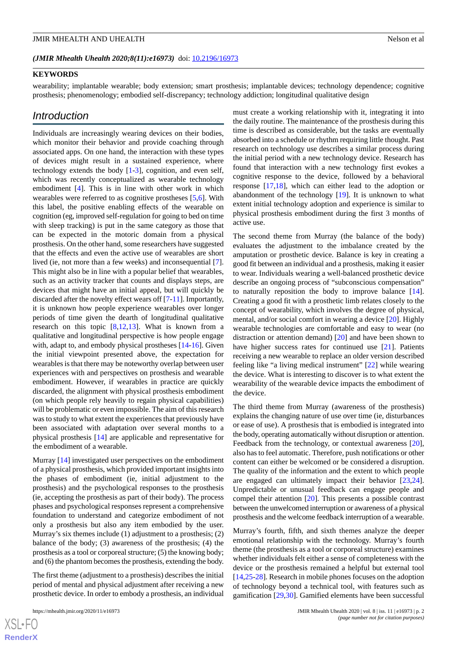#### **KEYWORDS**

wearability; implantable wearable; body extension; smart prosthesis; implantable devices; technology dependence; cognitive prosthesis; phenomenology; embodied self-discrepancy; technology addiction; longitudinal qualitative design

### *Introduction*

Individuals are increasingly wearing devices on their bodies, which monitor their behavior and provide coaching through associated apps. On one hand, the interaction with these types of devices might result in a sustained experience, where technology extends the body [[1-](#page-8-0)[3\]](#page-8-1), cognition, and even self, which was recently conceptualized as wearable technology embodiment [\[4\]](#page-8-2). This is in line with other work in which wearables were referred to as cognitive prostheses [[5](#page-9-0)[,6](#page-9-1)]. With this label, the positive enabling effects of the wearable on cognition (eg, improved self-regulation for going to bed on time with sleep tracking) is put in the same category as those that can be expected in the motoric domain from a physical prosthesis. On the other hand, some researchers have suggested that the effects and even the active use of wearables are short lived (ie, not more than a few weeks) and inconsequential [[7\]](#page-9-2). This might also be in line with a popular belief that wearables, such as an activity tracker that counts and displays steps, are devices that might have an initial appeal, but will quickly be discarded after the novelty effect wears off [\[7](#page-9-2)-[11\]](#page-9-3). Importantly, it is unknown how people experience wearables over longer periods of time given the dearth of longitudinal qualitative research on this topic  $[8,12,13]$  $[8,12,13]$  $[8,12,13]$  $[8,12,13]$  $[8,12,13]$ . What is known from a qualitative and longitudinal perspective is how people engage with, adapt to, and embody physical prostheses [\[14](#page-9-7)[-16](#page-9-8)]. Given the initial viewpoint presented above, the expectation for wearables is that there may be noteworthy overlap between user experiences with and perspectives on prosthesis and wearable embodiment. However, if wearables in practice are quickly discarded, the alignment with physical prosthesis embodiment (on which people rely heavily to regain physical capabilities) will be problematic or even impossible. The aim of this research was to study to what extent the experiences that previously have been associated with adaptation over several months to a physical prosthesis [\[14](#page-9-7)] are applicable and representative for the embodiment of a wearable.

Murray [\[14](#page-9-7)] investigated user perspectives on the embodiment of a physical prosthesis, which provided important insights into the phases of embodiment (ie, initial adjustment to the prosthesis) and the psychological responses to the prosthesis (ie, accepting the prosthesis as part of their body). The process phases and psychological responses represent a comprehensive foundation to understand and categorize embodiment of not only a prosthesis but also any item embodied by the user. Murray's six themes include (1) adjustment to a prosthesis; (2) balance of the body; (3) awareness of the prosthesis; (4) the prosthesis as a tool or corporeal structure; (5) the knowing body; and (6) the phantom becomes the prosthesis, extending the body.

The first theme (adjustment to a prosthesis) describes the initial period of mental and physical adjustment after receiving a new prosthetic device. In order to embody a prosthesis, an individual

must create a working relationship with it, integrating it into the daily routine. The maintenance of the prosthesis during this time is described as considerable, but the tasks are eventually absorbed into a schedule or rhythm requiring little thought. Past research on technology use describes a similar process during the initial period with a new technology device. Research has found that interaction with a new technology first evokes a cognitive response to the device, followed by a behavioral response [[17,](#page-9-9)[18](#page-9-10)], which can either lead to the adoption or abandonment of the technology [[19\]](#page-9-11). It is unknown to what extent initial technology adoption and experience is similar to physical prosthesis embodiment during the first 3 months of active use.

The second theme from Murray (the balance of the body) evaluates the adjustment to the imbalance created by the amputation or prosthetic device. Balance is key in creating a good fit between an individual and a prosthesis, making it easier to wear. Individuals wearing a well-balanced prosthetic device describe an ongoing process of "subconscious compensation" to naturally reposition the body to improve balance [[14\]](#page-9-7). Creating a good fit with a prosthetic limb relates closely to the concept of wearability, which involves the degree of physical, mental, and/or social comfort in wearing a device [[20\]](#page-9-12). Highly wearable technologies are comfortable and easy to wear (no distraction or attention demand) [\[20](#page-9-12)] and have been shown to have higher success rates for continued use [\[21](#page-9-13)]. Patients receiving a new wearable to replace an older version described feeling like "a living medical instrument" [[22\]](#page-9-14) while wearing the device. What is interesting to discover is to what extent the wearability of the wearable device impacts the embodiment of the device.

The third theme from Murray (awareness of the prosthesis) explains the changing nature of use over time (ie, disturbances or ease of use). A prosthesis that is embodied is integrated into the body, operating automatically without disruption or attention. Feedback from the technology, or contextual awareness [[20\]](#page-9-12), also has to feel automatic. Therefore, push notifications or other content can either be welcomed or be considered a disruption. The quality of the information and the extent to which people are engaged can ultimately impact their behavior [\[23](#page-9-15),[24\]](#page-9-16). Unpredictable or unusual feedback can engage people and compel their attention [\[20](#page-9-12)]. This presents a possible contrast between the unwelcomed interruption or awareness of a physical prosthesis and the welcome feedback interruption of a wearable.

Murray's fourth, fifth, and sixth themes analyze the deeper emotional relationship with the technology. Murray's fourth theme (the prosthesis as a tool or corporeal structure) examines whether individuals felt either a sense of completeness with the device or the prosthesis remained a helpful but external tool [[14,](#page-9-7)[25-](#page-9-17)[28\]](#page-9-18). Research in mobile phones focuses on the adoption of technology beyond a technical tool, with features such as gamification [[29](#page-9-19)[,30](#page-9-20)]. Gamified elements have been successful

 $XS$  $\cdot$ FC **[RenderX](http://www.renderx.com/)**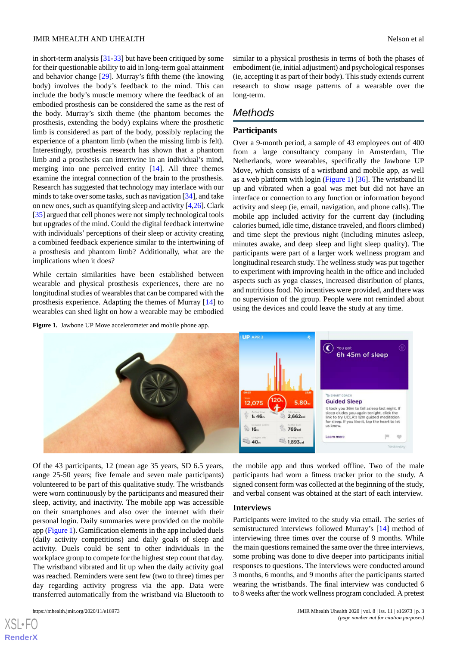in short-term analysis [\[31](#page-10-0)-[33\]](#page-10-1) but have been critiqued by some for their questionable ability to aid in long-term goal attainment and behavior change [\[29](#page-9-19)]. Murray's fifth theme (the knowing body) involves the body's feedback to the mind. This can include the body's muscle memory where the feedback of an embodied prosthesis can be considered the same as the rest of the body. Murray's sixth theme (the phantom becomes the prosthesis, extending the body) explains where the prosthetic limb is considered as part of the body, possibly replacing the experience of a phantom limb (when the missing limb is felt). Interestingly, prosthesis research has shown that a phantom limb and a prosthesis can intertwine in an individual's mind, merging into one perceived entity [\[14](#page-9-7)]. All three themes examine the integral connection of the brain to the prosthesis. Research has suggested that technology may interlace with our minds to take over some tasks, such as navigation [\[34](#page-10-2)], and take on new ones, such as quantifying sleep and activity [[4](#page-8-2)[,26](#page-9-21)]. Clark [[35\]](#page-10-3) argued that cell phones were not simply technological tools but upgrades of the mind. Could the digital feedback intertwine with individuals' perceptions of their sleep or activity creating a combined feedback experience similar to the intertwining of a prosthesis and phantom limb? Additionally, what are the implications when it does?

<span id="page-3-0"></span>While certain similarities have been established between wearable and physical prosthesis experiences, there are no longitudinal studies of wearables that can be compared with the prosthesis experience. Adapting the themes of Murray [[14\]](#page-9-7) to wearables can shed light on how a wearable may be embodied

**Figure 1.** Jawbone UP Move accelerometer and mobile phone app.

similar to a physical prosthesis in terms of both the phases of embodiment (ie, initial adjustment) and psychological responses (ie, accepting it as part of their body). This study extends current research to show usage patterns of a wearable over the long-term.

# *Methods*

### **Participants**

Over a 9-month period, a sample of 43 employees out of 400 from a large consultancy company in Amsterdam, The Netherlands, wore wearables, specifically the Jawbone UP Move, which consists of a wristband and mobile app, as well as a web platform with login ([Figure 1](#page-3-0)) [\[36](#page-10-4)]. The wristband lit up and vibrated when a goal was met but did not have an interface or connection to any function or information beyond activity and sleep (ie, email, navigation, and phone calls). The mobile app included activity for the current day (including calories burned, idle time, distance traveled, and floors climbed) and time slept the previous night (including minutes asleep, minutes awake, and deep sleep and light sleep quality). The participants were part of a larger work wellness program and longitudinal research study. The wellness study was put together to experiment with improving health in the office and included aspects such as yoga classes, increased distribution of plants, and nutritious food. No incentives were provided, and there was no supervision of the group. People were not reminded about using the devices and could leave the study at any time.



Of the 43 participants, 12 (mean age 35 years, SD 6.5 years, range 25-50 years; five female and seven male participants) volunteered to be part of this qualitative study. The wristbands were worn continuously by the participants and measured their sleep, activity, and inactivity. The mobile app was accessible on their smartphones and also over the internet with their personal login. Daily summaries were provided on the mobile app [\(Figure 1](#page-3-0)). Gamification elements in the app included duels (daily activity competitions) and daily goals of sleep and activity. Duels could be sent to other individuals in the workplace group to compete for the highest step count that day. The wristband vibrated and lit up when the daily activity goal was reached. Reminders were sent few (two to three) times per day regarding activity progress via the app. Data were transferred automatically from the wristband via Bluetooth to

[XSL](http://www.w3.org/Style/XSL)•FO **[RenderX](http://www.renderx.com/)**

the mobile app and thus worked offline. Two of the male participants had worn a fitness tracker prior to the study. A signed consent form was collected at the beginning of the study, and verbal consent was obtained at the start of each interview.

#### **Interviews**

Participants were invited to the study via email. The series of semistructured interviews followed Murray's [[14\]](#page-9-7) method of interviewing three times over the course of 9 months. While the main questions remained the same over the three interviews, some probing was done to dive deeper into participants initial responses to questions. The interviews were conducted around 3 months, 6 months, and 9 months after the participants started wearing the wristbands. The final interview was conducted 6 to 8 weeks after the work wellness program concluded. A pretest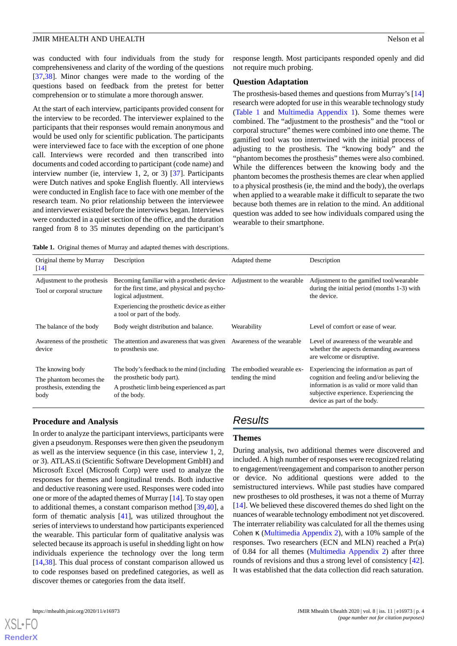was conducted with four individuals from the study for comprehensiveness and clarity of the wording of the questions [[37](#page-10-5)[,38](#page-10-6)]. Minor changes were made to the wording of the questions based on feedback from the pretest for better comprehension or to stimulate a more thorough answer.

At the start of each interview, participants provided consent for the interview to be recorded. The interviewer explained to the participants that their responses would remain anonymous and would be used only for scientific publication. The participants were interviewed face to face with the exception of one phone call. Interviews were recorded and then transcribed into documents and coded according to participant (code name) and interview number (ie, interview 1, 2, or 3) [\[37](#page-10-5)]. Participants were Dutch natives and spoke English fluently. All interviews were conducted in English face to face with one member of the research team. No prior relationship between the interviewee and interviewer existed before the interviews began. Interviews were conducted in a quiet section of the office, and the duration ranged from 8 to 35 minutes depending on the participant's

response length. Most participants responded openly and did not require much probing.

#### **Question Adaptation**

The prosthesis-based themes and questions from Murray's [\[14](#page-9-7)] research were adopted for use in this wearable technology study ([Table 1](#page-4-0) and [Multimedia Appendix 1](#page-8-3)). Some themes were combined. The "adjustment to the prosthesis" and the "tool or corporal structure" themes were combined into one theme. The gamified tool was too intertwined with the initial process of adjusting to the prosthesis. The "knowing body" and the "phantom becomes the prosthesis" themes were also combined. While the differences between the knowing body and the phantom becomes the prosthesis themes are clear when applied to a physical prosthesis (ie, the mind and the body), the overlaps when applied to a wearable make it difficult to separate the two because both themes are in relation to the mind. An additional question was added to see how individuals compared using the wearable to their smartphone.

<span id="page-4-0"></span>**Table 1.** Original themes of Murray and adapted themes with descriptions.

| Original theme by Murray<br>$\lceil 14 \rceil$                                   | Description                                                                                                                                                                                      | Adapted theme                                 | Description                                                                                                                                                                                                   |
|----------------------------------------------------------------------------------|--------------------------------------------------------------------------------------------------------------------------------------------------------------------------------------------------|-----------------------------------------------|---------------------------------------------------------------------------------------------------------------------------------------------------------------------------------------------------------------|
| Adjustment to the prothesis<br>Tool or corporal structure                        | Becoming familiar with a prosthetic device<br>for the first time, and physical and psycho-<br>logical adjustment.<br>Experiencing the prosthetic device as either<br>a tool or part of the body. | Adjustment to the wearable                    | Adjustment to the gamified tool/wearable<br>during the initial period (months 1-3) with<br>the device.                                                                                                        |
| The balance of the body                                                          | Body weight distribution and balance.                                                                                                                                                            | Wearability                                   | Level of comfort or ease of wear.                                                                                                                                                                             |
| Awareness of the prosthetic<br>device                                            | The attention and awareness that was given<br>to prosthesis use.                                                                                                                                 | Awareness of the wearable                     | Level of awareness of the wearable and<br>whether the aspects demanding awareness<br>are welcome or disruptive.                                                                                               |
| The knowing body<br>The phantom becomes the<br>prosthesis, extending the<br>body | The body's feedback to the mind (including<br>the prosthetic body part).<br>A prosthetic limb being experienced as part<br>of the body.                                                          | The embodied wearable ex-<br>tending the mind | Experiencing the information as part of<br>cognition and feeling and/or believing the<br>information is as valid or more valid than<br>subjective experience. Experiencing the<br>device as part of the body. |

#### **Procedure and Analysis**

In order to analyze the participant interviews, participants were given a pseudonym. Responses were then given the pseudonym as well as the interview sequence (in this case, interview 1, 2, or 3). ATLAS.ti (Scientific Software Development GmbH) and Microsoft Excel (Microsoft Corp) were used to analyze the responses for themes and longitudinal trends. Both inductive and deductive reasoning were used. Responses were coded into one or more of the adapted themes of Murray [\[14](#page-9-7)]. To stay open to additional themes, a constant comparison method [\[39](#page-10-7),[40\]](#page-10-8), a form of thematic analysis [\[41](#page-10-9)], was utilized throughout the series of interviews to understand how participants experienced the wearable. This particular form of qualitative analysis was selected because its approach is useful in shedding light on how individuals experience the technology over the long term [[14](#page-9-7)[,38](#page-10-6)]. This dual process of constant comparison allowed us to code responses based on predefined categories, as well as discover themes or categories from the data itself.

# *Results*

#### **Themes**

During analysis, two additional themes were discovered and included. A high number of responses were recognized relating to engagement/reengagement and comparison to another person or device. No additional questions were added to the semistructured interviews. While past studies have compared new prostheses to old prostheses, it was not a theme of Murray [[14\]](#page-9-7). We believed these discovered themes do shed light on the nuances of wearable technology embodiment not yet discovered. The interrater reliability was calculated for all the themes using Cohen  $\kappa$  [\(Multimedia Appendix 2\)](#page-8-4), with a 10% sample of the responses. Two researchers (ECN and MLN) reached a Pr(a) of 0.84 for all themes ([Multimedia Appendix 2\)](#page-8-4) after three rounds of revisions and thus a strong level of consistency [[42\]](#page-10-10). It was established that the data collection did reach saturation.

[XSL](http://www.w3.org/Style/XSL)•FO **[RenderX](http://www.renderx.com/)**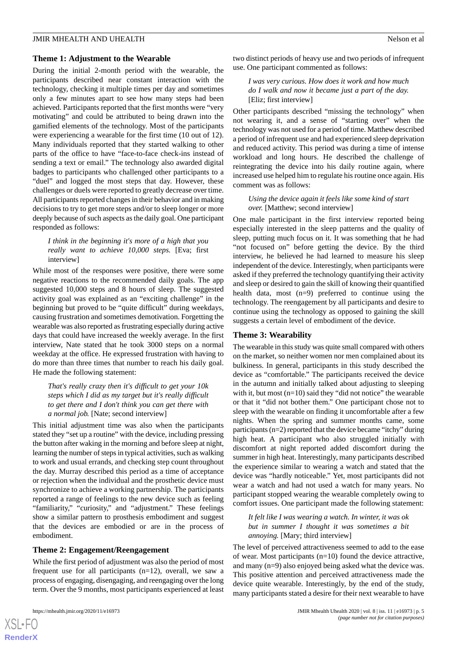#### **Theme 1: Adjustment to the Wearable**

During the initial 2-month period with the wearable, the participants described near constant interaction with the technology, checking it multiple times per day and sometimes only a few minutes apart to see how many steps had been achieved. Participants reported that the first months were "very motivating" and could be attributed to being drawn into the gamified elements of the technology. Most of the participants were experiencing a wearable for the first time (10 out of 12). Many individuals reported that they started walking to other parts of the office to have "face-to-face check-ins instead of sending a text or email." The technology also awarded digital badges to participants who challenged other participants to a "duel" and logged the most steps that day. However, these challenges or duels were reported to greatly decrease over time. All participants reported changes in their behavior and in making decisions to try to get more steps and/or to sleep longer or more deeply because of such aspects as the daily goal. One participant responded as follows:

*I think in the beginning it's more of a high that you really want to achieve 10,000 steps.* [Eva; first interview]

While most of the responses were positive, there were some negative reactions to the recommended daily goals. The app suggested 10,000 steps and 8 hours of sleep. The suggested activity goal was explained as an "exciting challenge" in the beginning but proved to be "quite difficult" during weekdays. causing frustration and sometimes demotivation. Forgetting the wearable was also reported as frustrating especially during active days that could have increased the weekly average. In the first interview, Nate stated that he took 3000 steps on a normal weekday at the office. He expressed frustration with having to do more than three times that number to reach his daily goal. He made the following statement:

*That's really crazy then it's difficult to get your 10k steps which I did as my target but it's really difficult to get there and I don't think you can get there with a normal job.* [Nate; second interview]

This initial adjustment time was also when the participants stated they "set up a routine" with the device, including pressing the button after waking in the morning and before sleep at night, learning the number of steps in typical activities, such as walking to work and usual errands, and checking step count throughout the day. Murray described this period as a time of acceptance or rejection when the individual and the prosthetic device must synchronize to achieve a working partnership. The participants reported a range of feelings to the new device such as feeling "familiarity," "curiosity," and "adjustment." These feelings show a similar pattern to prosthesis embodiment and suggest that the devices are embodied or are in the process of embodiment.

#### **Theme 2: Engagement/Reengagement**

While the first period of adjustment was also the period of most frequent use for all participants (n=12), overall, we saw a process of engaging, disengaging, and reengaging over the long term. Over the 9 months, most participants experienced at least

two distinct periods of heavy use and two periods of infrequent use. One participant commented as follows:

*I was very curious. How does it work and how much do I walk and now it became just a part of the day.* [Eliz; first interview]

Other participants described "missing the technology" when not wearing it, and a sense of "starting over" when the technology was not used for a period of time. Matthew described a period of infrequent use and had experienced sleep deprivation and reduced activity. This period was during a time of intense workload and long hours. He described the challenge of reintegrating the device into his daily routine again, where increased use helped him to regulate his routine once again. His comment was as follows:

*Using the device again it feels like some kind of start over.* [Matthew; second interview]

One male participant in the first interview reported being especially interested in the sleep patterns and the quality of sleep, putting much focus on it. It was something that he had "not focused on" before getting the device. By the third interview, he believed he had learned to measure his sleep independent of the device. Interestingly, when participants were asked if they preferred the technology quantifying their activity and sleep or desired to gain the skill of knowing their quantified health data, most (n=9) preferred to continue using the technology. The reengagement by all participants and desire to continue using the technology as opposed to gaining the skill suggests a certain level of embodiment of the device.

#### **Theme 3: Wearability**

The wearable in this study was quite small compared with others on the market, so neither women nor men complained about its bulkiness. In general, participants in this study described the device as "comfortable." The participants received the device in the autumn and initially talked about adjusting to sleeping with it, but most  $(n=10)$  said they "did not notice" the wearable or that it "did not bother them." One participant chose not to sleep with the wearable on finding it uncomfortable after a few nights. When the spring and summer months came, some participants (n=2) reported that the device became "itchy" during high heat. A participant who also struggled initially with discomfort at night reported added discomfort during the summer in high heat. Interestingly, many participants described the experience similar to wearing a watch and stated that the device was "hardly noticeable." Yet, most participants did not wear a watch and had not used a watch for many years. No participant stopped wearing the wearable completely owing to comfort issues. One participant made the following statement:

*It felt like I was wearing a watch. In winter, it was ok but in summer I thought it was sometimes a bit annoying.* [Mary; third interview]

The level of perceived attractiveness seemed to add to the ease of wear. Most participants (n=10) found the device attractive, and many (n=9) also enjoyed being asked what the device was. This positive attention and perceived attractiveness made the device quite wearable. Interestingly, by the end of the study, many participants stated a desire for their next wearable to have

 $XS$  $\cdot$ FC **[RenderX](http://www.renderx.com/)**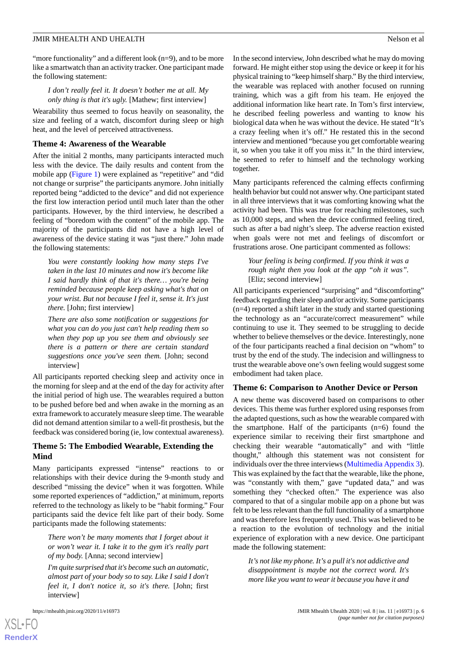"more functionality" and a different look (n=9), and to be more like a smartwatch than an activity tracker. One participant made the following statement:

*I don't really feel it. It doesn't bother me at all. My only thing is that it's ugly.* [Mathew; first interview]

Wearability thus seemed to focus heavily on seasonality, the size and feeling of a watch, discomfort during sleep or high heat, and the level of perceived attractiveness.

#### **Theme 4: Awareness of the Wearable**

After the initial 2 months, many participants interacted much less with the device. The daily results and content from the mobile app ([Figure 1](#page-3-0)) were explained as "repetitive" and "did not change or surprise" the participants anymore. John initially reported being "addicted to the device" and did not experience the first low interaction period until much later than the other participants. However, by the third interview, he described a feeling of "boredom with the content" of the mobile app. The majority of the participants did not have a high level of awareness of the device stating it was "just there." John made the following statements:

*You were constantly looking how many steps I've taken in the last 10 minutes and now it's become like I said hardly think of that it's there… you're being reminded because people keep asking what's that on your wrist. But not because I feel it, sense it. It's just there.* [John; first interview]

*There are also some notification or suggestions for what you can do you just can't help reading them so when they pop up you see them and obviously see there is a pattern or there are certain standard suggestions once you've seen them.* [John; second interview]

All participants reported checking sleep and activity once in the morning for sleep and at the end of the day for activity after the initial period of high use. The wearables required a button to be pushed before bed and when awake in the morning as an extra framework to accurately measure sleep time. The wearable did not demand attention similar to a well-fit prosthesis, but the feedback was considered boring (ie, low contextual awareness).

#### **Theme 5: The Embodied Wearable, Extending the Mind**

Many participants expressed "intense" reactions to or relationships with their device during the 9-month study and described "missing the device" when it was forgotten. While some reported experiences of "addiction," at minimum, reports referred to the technology as likely to be "habit forming." Four participants said the device felt like part of their body. Some participants made the following statements:

*There won't be many moments that I forget about it or won't wear it. I take it to the gym it's really part of my body.* [Anna; second interview]

*I'm quite surprised that it's become such an automatic, almost part of your body so to say. Like I said I don't feel it, I don't notice it, so it's there.* [John; first interview]

[XSL](http://www.w3.org/Style/XSL)•FO **[RenderX](http://www.renderx.com/)**

In the second interview, John described what he may do moving forward. He might either stop using the device or keep it for his physical training to "keep himself sharp." By the third interview, the wearable was replaced with another focused on running training, which was a gift from his team. He enjoyed the additional information like heart rate. In Tom's first interview, he described feeling powerless and wanting to know his biological data when he was without the device. He stated "It's a crazy feeling when it's off." He restated this in the second interview and mentioned "because you get comfortable wearing it, so when you take it off you miss it." In the third interview, he seemed to refer to himself and the technology working together.

Many participants referenced the calming effects confirming health behavior but could not answer why. One participant stated in all three interviews that it was comforting knowing what the activity had been. This was true for reaching milestones, such as 10,000 steps, and when the device confirmed feeling tired, such as after a bad night's sleep. The adverse reaction existed when goals were not met and feelings of discomfort or frustrations arose. One participant commented as follows:

*Your feeling is being confirmed. If you think it was a rough night then you look at the app "oh it was".* [Eliz; second interview]

All participants experienced "surprising" and "discomforting" feedback regarding their sleep and/or activity. Some participants (n=4) reported a shift later in the study and started questioning the technology as an "accurate/correct measurement" while continuing to use it. They seemed to be struggling to decide whether to believe themselves or the device. Interestingly, none of the four participants reached a final decision on "whom" to trust by the end of the study. The indecision and willingness to trust the wearable above one's own feeling would suggest some embodiment had taken place.

#### **Theme 6: Comparison to Another Device or Person**

A new theme was discovered based on comparisons to other devices. This theme was further explored using responses from the adapted questions, such as how the wearable compared with the smartphone. Half of the participants  $(n=6)$  found the experience similar to receiving their first smartphone and checking their wearable "automatically" and with "little thought," although this statement was not consistent for individuals over the three interviews ([Multimedia Appendix 3\)](#page-8-5). This was explained by the fact that the wearable, like the phone, was "constantly with them," gave "updated data," and was something they "checked often." The experience was also compared to that of a singular mobile app on a phone but was felt to be less relevant than the full functionality of a smartphone and was therefore less frequently used. This was believed to be a reaction to the evolution of technology and the initial experience of exploration with a new device. One participant made the following statement:

*It's not like my phone. It's a pull it's not addictive and disappointment is maybe not the correct word. It's more like you want to wear it because you have it and*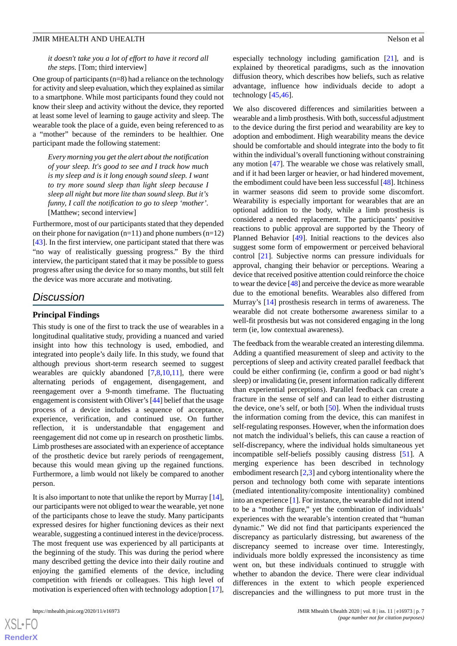#### *it doesn't take you a lot of effort to have it record all the steps.* [Tom; third interview]

One group of participants (n=8) had a reliance on the technology for activity and sleep evaluation, which they explained as similar to a smartphone. While most participants found they could not know their sleep and activity without the device, they reported at least some level of learning to gauge activity and sleep. The wearable took the place of a guide, even being referenced to as a "mother" because of the reminders to be healthier. One participant made the following statement:

*Every morning you get the alert about the notification of your sleep. It's good to see and I track how much is my sleep and is it long enough sound sleep. I want to try more sound sleep than light sleep because I sleep all night but more lite than sound sleep. But it's funny, I call the notification to go to sleep 'mother'.* [Matthew; second interview]

Furthermore, most of our participants stated that they depended on their phone for navigation  $(n=11)$  and phone numbers  $(n=12)$ [[43\]](#page-10-11). In the first interview, one participant stated that there was "no way of realistically guessing progress." By the third interview, the participant stated that it may be possible to guess progress after using the device for so many months, but still felt the device was more accurate and motivating.

### *Discussion*

#### **Principal Findings**

This study is one of the first to track the use of wearables in a longitudinal qualitative study, providing a nuanced and varied insight into how this technology is used, embodied, and integrated into people's daily life. In this study, we found that although previous short-term research seemed to suggest wearables are quickly abandoned  $[7,8,10,11]$  $[7,8,10,11]$  $[7,8,10,11]$  $[7,8,10,11]$  $[7,8,10,11]$  $[7,8,10,11]$ , there were alternating periods of engagement, disengagement, and reengagement over a 9-month timeframe. The fluctuating engagement is consistent with Oliver's [[44](#page-10-12)] belief that the usage process of a device includes a sequence of acceptance, experience, verification, and continued use. On further reflection, it is understandable that engagement and reengagement did not come up in research on prosthetic limbs. Limb prostheses are associated with an experience of acceptance of the prosthetic device but rarely periods of reengagement, because this would mean giving up the regained functions. Furthermore, a limb would not likely be compared to another person.

It is also important to note that unlike the report by Murray [\[14\]](#page-9-7), our participants were not obliged to wear the wearable, yet none of the participants chose to leave the study. Many participants expressed desires for higher functioning devices as their next wearable, suggesting a continued interest in the device/process. The most frequent use was experienced by all participants at the beginning of the study. This was during the period where many described getting the device into their daily routine and enjoying the gamified elements of the device, including competition with friends or colleagues. This high level of motivation is experienced often with technology adoption [[17\]](#page-9-9),

especially technology including gamification [[21\]](#page-9-13), and is explained by theoretical paradigms, such as the innovation diffusion theory, which describes how beliefs, such as relative advantage, influence how individuals decide to adopt a technology [[45](#page-10-13)[,46](#page-10-14)].

We also discovered differences and similarities between a wearable and a limb prosthesis. With both, successful adjustment to the device during the first period and wearability are key to adoption and embodiment. High wearability means the device should be comfortable and should integrate into the body to fit within the individual's overall functioning without constraining any motion [[47\]](#page-10-15). The wearable we chose was relatively small, and if it had been larger or heavier, or had hindered movement, the embodiment could have been less successful [\[48](#page-10-16)]. Itchiness in warmer seasons did seem to provide some discomfort. Wearability is especially important for wearables that are an optional addition to the body, while a limb prosthesis is considered a needed replacement. The participants' positive reactions to public approval are supported by the Theory of Planned Behavior [\[49](#page-10-17)]. Initial reactions to the devices also suggest some form of empowerment or perceived behavioral control [[21\]](#page-9-13). Subjective norms can pressure individuals for approval, changing their behavior or perceptions. Wearing a device that received positive attention could reinforce the choice to wear the device [\[48](#page-10-16)] and perceive the device as more wearable due to the emotional benefits. Wearables also differed from Murray's [[14\]](#page-9-7) prosthesis research in terms of awareness. The wearable did not create bothersome awareness similar to a well-fit prosthesis but was not considered engaging in the long term (ie, low contextual awareness).

The feedback from the wearable created an interesting dilemma. Adding a quantified measurement of sleep and activity to the perceptions of sleep and activity created parallel feedback that could be either confirming (ie, confirm a good or bad night's sleep) or invalidating (ie, present information radically different than experiential perceptions). Parallel feedback can create a fracture in the sense of self and can lead to either distrusting the device, one's self, or both  $[50]$  $[50]$ . When the individual trusts the information coming from the device, this can manifest in self-regulating responses. However, when the information does not match the individual's beliefs, this can cause a reaction of self-discrepancy, where the individual holds simultaneous yet incompatible self-beliefs possibly causing distress [\[51](#page-10-19)]. A merging experience has been described in technology embodiment research [\[2,](#page-8-6)[3](#page-8-1)] and cyborg intentionality where the person and technology both come with separate intentions (mediated intentionality/composite intentionality) combined into an experience [[1\]](#page-8-0). For instance, the wearable did not intend to be a "mother figure," yet the combination of individuals' experiences with the wearable's intention created that "human dynamic." We did not find that participants experienced the discrepancy as particularly distressing, but awareness of the discrepancy seemed to increase over time. Interestingly, individuals more boldly expressed the inconsistency as time went on, but these individuals continued to struggle with whether to abandon the device. There were clear individual differences in the extent to which people experienced discrepancies and the willingness to put more trust in the

 $XS$  $\cdot$ FC **[RenderX](http://www.renderx.com/)**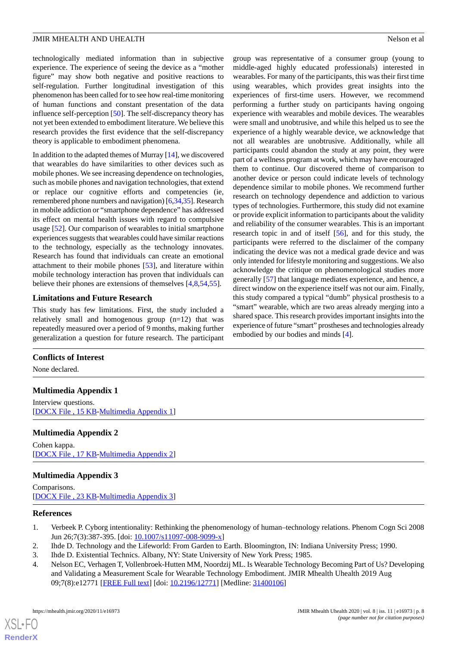technologically mediated information than in subjective experience. The experience of seeing the device as a "mother figure" may show both negative and positive reactions to self-regulation. Further longitudinal investigation of this phenomenon has been called for to see how real-time monitoring of human functions and constant presentation of the data influence self-perception [\[50](#page-10-18)]. The self-discrepancy theory has not yet been extended to embodiment literature. We believe this research provides the first evidence that the self-discrepancy theory is applicable to embodiment phenomena.

In addition to the adapted themes of Murray [\[14](#page-9-7)], we discovered that wearables do have similarities to other devices such as mobile phones. We see increasing dependence on technologies, such as mobile phones and navigation technologies, that extend or replace our cognitive efforts and competencies (ie, remembered phone numbers and navigation) [\[6](#page-9-1)[,34](#page-10-2),[35](#page-10-3)]. Research in mobile addiction or "smartphone dependence" has addressed its effect on mental health issues with regard to compulsive usage [[52\]](#page-10-20). Our comparison of wearables to initial smartphone experiences suggests that wearables could have similar reactions to the technology, especially as the technology innovates. Research has found that individuals can create an emotional attachment to their mobile phones [\[53](#page-10-21)], and literature within mobile technology interaction has proven that individuals can believe their phones are extensions of themselves [\[4](#page-8-2),[8](#page-9-4)[,54](#page-10-22),[55\]](#page-10-23).

#### **Limitations and Future Research**

This study has few limitations. First, the study included a relatively small and homogenous group  $(n=12)$  that was repeatedly measured over a period of 9 months, making further generalization a question for future research. The participant

### <span id="page-8-3"></span>**Conflicts of Interest**

None declared.

#### <span id="page-8-4"></span>**Multimedia Appendix 1**

Interview questions. [[DOCX File , 15 KB](https://jmir.org/api/download?alt_name=mhealth_v8i11e16973_app1.docx&filename=f1a01a38549df68d88c9ebfd00098b48.docx)-[Multimedia Appendix 1\]](https://jmir.org/api/download?alt_name=mhealth_v8i11e16973_app1.docx&filename=f1a01a38549df68d88c9ebfd00098b48.docx)

#### <span id="page-8-5"></span>**Multimedia Appendix 2**

Cohen kappa. [[DOCX File , 17 KB](https://jmir.org/api/download?alt_name=mhealth_v8i11e16973_app2.docx&filename=631d14328b5b25979210f93bb9ba2dd8.docx)-[Multimedia Appendix 2\]](https://jmir.org/api/download?alt_name=mhealth_v8i11e16973_app2.docx&filename=631d14328b5b25979210f93bb9ba2dd8.docx)

#### <span id="page-8-0"></span>**Multimedia Appendix 3**

<span id="page-8-6"></span><span id="page-8-1"></span>Comparisons. [[DOCX File , 23 KB](https://jmir.org/api/download?alt_name=mhealth_v8i11e16973_app3.docx&filename=f366ad425c90e0427de6a3bffe5fb1d0.docx)-[Multimedia Appendix 3\]](https://jmir.org/api/download?alt_name=mhealth_v8i11e16973_app3.docx&filename=f366ad425c90e0427de6a3bffe5fb1d0.docx)

#### <span id="page-8-2"></span>**References**

[XSL](http://www.w3.org/Style/XSL)•FO **[RenderX](http://www.renderx.com/)**

- 1. Verbeek P. Cyborg intentionality: Rethinking the phenomenology of human–technology relations. Phenom Cogn Sci 2008 Jun 26;7(3):387-395. [doi: [10.1007/s11097-008-9099-x](http://dx.doi.org/10.1007/s11097-008-9099-x)]
- 2. Ihde D. Technology and the Lifeworld: From Garden to Earth. Bloomington, IN: Indiana University Press; 1990.
- 3. Ihde D. Existential Technics. Albany, NY: State University of New York Press; 1985.
- 4. Nelson EC, Verhagen T, Vollenbroek-Hutten MM, Noordzij ML. Is Wearable Technology Becoming Part of Us? Developing and Validating a Measurement Scale for Wearable Technology Embodiment. JMIR Mhealth Uhealth 2019 Aug 09;7(8):e12771 [\[FREE Full text](https://mhealth.jmir.org/2019/8/e12771/)] [doi: [10.2196/12771\]](http://dx.doi.org/10.2196/12771) [Medline: [31400106\]](http://www.ncbi.nlm.nih.gov/entrez/query.fcgi?cmd=Retrieve&db=PubMed&list_uids=31400106&dopt=Abstract)

group was representative of a consumer group (young to middle-aged highly educated professionals) interested in wearables. For many of the participants, this was their first time using wearables, which provides great insights into the experiences of first-time users. However, we recommend performing a further study on participants having ongoing experience with wearables and mobile devices. The wearables were small and unobtrusive, and while this helped us to see the experience of a highly wearable device, we acknowledge that not all wearables are unobtrusive. Additionally, while all participants could abandon the study at any point, they were part of a wellness program at work, which may have encouraged them to continue. Our discovered theme of comparison to another device or person could indicate levels of technology dependence similar to mobile phones. We recommend further research on technology dependence and addiction to various types of technologies. Furthermore, this study did not examine or provide explicit information to participants about the validity and reliability of the consumer wearables. This is an important research topic in and of itself [[56\]](#page-10-24), and for this study, the participants were referred to the disclaimer of the company indicating the device was not a medical grade device and was only intended for lifestyle monitoring and suggestions. We also acknowledge the critique on phenomenological studies more generally [\[57](#page-11-0)] that language mediates experience, and hence, a direct window on the experience itself was not our aim. Finally, this study compared a typical "dumb" physical prosthesis to a "smart" wearable, which are two areas already merging into a shared space. This research provides important insights into the experience of future "smart" prostheses and technologies already embodied by our bodies and minds [[4\]](#page-8-2).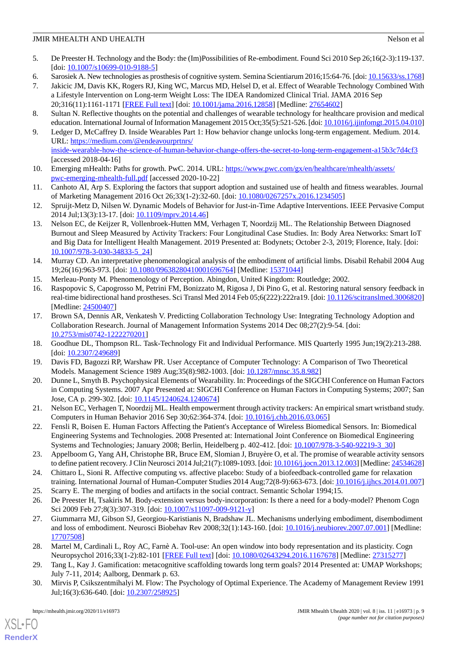- <span id="page-9-0"></span>5. De Preester H. Technology and the Body: the (Im)Possibilities of Re-embodiment. Found Sci 2010 Sep 26;16(2-3):119-137. [doi: [10.1007/s10699-010-9188-5](http://dx.doi.org/10.1007/s10699-010-9188-5)]
- <span id="page-9-2"></span><span id="page-9-1"></span>6. Sarosiek A. New technologies as prosthesis of cognitive system. Semina Scientiarum 2016;15:64-76. [doi: [10.15633/ss.1768\]](http://dx.doi.org/10.15633/ss.1768)
- 7. Jakicic JM, Davis KK, Rogers RJ, King WC, Marcus MD, Helsel D, et al. Effect of Wearable Technology Combined With a Lifestyle Intervention on Long-term Weight Loss: The IDEA Randomized Clinical Trial. JAMA 2016 Sep 20;316(11):1161-1171 [[FREE Full text](http://europepmc.org/abstract/MED/27654602)] [doi: [10.1001/jama.2016.12858](http://dx.doi.org/10.1001/jama.2016.12858)] [Medline: [27654602](http://www.ncbi.nlm.nih.gov/entrez/query.fcgi?cmd=Retrieve&db=PubMed&list_uids=27654602&dopt=Abstract)]
- <span id="page-9-4"></span>8. Sultan N. Reflective thoughts on the potential and challenges of wearable technology for healthcare provision and medical education. International Journal of Information Management 2015 Oct;35(5):521-526. [doi: [10.1016/j.ijinfomgt.2015.04.010\]](http://dx.doi.org/10.1016/j.ijinfomgt.2015.04.010)
- 9. Ledger D, McCaffrey D. Inside Wearables Part 1: How behavior change unlocks long-term engagement. Medium. 2014. URL: [https://medium.com/@endeavourprtnrs/](https://medium.com/@endeavourprtnrs/inside-wearable-how-the-science-of-human-behavior-change-offers-the-secret-to-long-term-engagement-a15b3c7d4cf3) [inside-wearable-how-the-science-of-human-behavior-change-offers-the-secret-to-long-term-engagement-a15b3c7d4cf3](https://medium.com/@endeavourprtnrs/inside-wearable-how-the-science-of-human-behavior-change-offers-the-secret-to-long-term-engagement-a15b3c7d4cf3) [accessed 2018-04-16]
- <span id="page-9-22"></span><span id="page-9-3"></span>10. Emerging mHealth: Paths for growth. PwC. 2014. URL: [https://www.pwc.com/gx/en/healthcare/mhealth/assets/](https://www.pwc.com/gx/en/healthcare/mhealth/assets/pwc-emerging-mhealth-full.pdf) [pwc-emerging-mhealth-full.pdf](https://www.pwc.com/gx/en/healthcare/mhealth/assets/pwc-emerging-mhealth-full.pdf) [accessed 2020-10-22]
- <span id="page-9-5"></span>11. Canhoto AI, Arp S. Exploring the factors that support adoption and sustained use of health and fitness wearables. Journal of Marketing Management 2016 Oct 26;33(1-2):32-60. [doi: [10.1080/0267257x.2016.1234505](http://dx.doi.org/10.1080/0267257x.2016.1234505)]
- <span id="page-9-6"></span>12. Spruijt-Metz D, Nilsen W. Dynamic Models of Behavior for Just-in-Time Adaptive Interventions. IEEE Pervasive Comput 2014 Jul;13(3):13-17. [doi: [10.1109/mprv.2014.46](http://dx.doi.org/10.1109/mprv.2014.46)]
- <span id="page-9-7"></span>13. Nelson EC, de Keijzer R, Vollenbroek-Hutten MM, Verhagen T, Noordzij ML. The Relationship Between Diagnosed Burnout and Sleep Measured by Activity Trackers: Four Longitudinal Case Studies. In: Body Area Networks: Smart IoT and Big Data for Intelligent Health Management. 2019 Presented at: Bodynets; October 2-3, 2019; Florence, Italy. [doi: [10.1007/978-3-030-34833-5\\_24](http://dx.doi.org/10.1007/978-3-030-34833-5_24)]
- <span id="page-9-8"></span>14. Murray CD. An interpretative phenomenological analysis of the embodiment of artificial limbs. Disabil Rehabil 2004 Aug 19;26(16):963-973. [doi: [10.1080/09638280410001696764\]](http://dx.doi.org/10.1080/09638280410001696764) [Medline: [15371044\]](http://www.ncbi.nlm.nih.gov/entrez/query.fcgi?cmd=Retrieve&db=PubMed&list_uids=15371044&dopt=Abstract)
- 15. Merleau-Ponty M. Phenomenology of Perception. Abingdon, United Kingdom: Routledge; 2002.
- <span id="page-9-9"></span>16. Raspopovic S, Capogrosso M, Petrini FM, Bonizzato M, Rigosa J, Di Pino G, et al. Restoring natural sensory feedback in real-time bidirectional hand prostheses. Sci Transl Med 2014 Feb 05;6(222):222ra19. [doi: [10.1126/scitranslmed.3006820](http://dx.doi.org/10.1126/scitranslmed.3006820)] [Medline: [24500407](http://www.ncbi.nlm.nih.gov/entrez/query.fcgi?cmd=Retrieve&db=PubMed&list_uids=24500407&dopt=Abstract)]
- <span id="page-9-11"></span><span id="page-9-10"></span>17. Brown SA, Dennis AR, Venkatesh V. Predicting Collaboration Technology Use: Integrating Technology Adoption and Collaboration Research. Journal of Management Information Systems 2014 Dec 08;27(2):9-54. [doi: [10.2753/mis0742-1222270201\]](http://dx.doi.org/10.2753/mis0742-1222270201)
- <span id="page-9-12"></span>18. Goodhue DL, Thompson RL. Task-Technology Fit and Individual Performance. MIS Quarterly 1995 Jun;19(2):213-288. [doi: [10.2307/249689](http://dx.doi.org/10.2307/249689)]
- <span id="page-9-13"></span>19. Davis FD, Bagozzi RP, Warshaw PR. User Acceptance of Computer Technology: A Comparison of Two Theoretical Models. Management Science 1989 Aug;35(8):982-1003. [doi: [10.1287/mnsc.35.8.982](http://dx.doi.org/10.1287/mnsc.35.8.982)]
- <span id="page-9-14"></span>20. Dunne L, Smyth B. Psychophysical Elements of Wearability. In: Proceedings of the SIGCHI Conference on Human Factors in Computing Systems. 2007 Apr Presented at: SIGCHI Conference on Human Factors in Computing Systems; 2007; San Jose, CA p. 299-302. [doi: [10.1145/1240624.1240674\]](http://dx.doi.org/10.1145/1240624.1240674)
- <span id="page-9-15"></span>21. Nelson EC, Verhagen T, Noordzij ML. Health empowerment through activity trackers: An empirical smart wristband study. Computers in Human Behavior 2016 Sep 30;62:364-374. [doi: [10.1016/j.chb.2016.03.065](http://dx.doi.org/10.1016/j.chb.2016.03.065)]
- <span id="page-9-16"></span>22. Fensli R, Boisen E. Human Factors Affecting the Patient's Acceptance of Wireless Biomedical Sensors. In: Biomedical Engineering Systems and Technologies. 2008 Presented at: International Joint Conference on Biomedical Engineering Systems and Technologies; January 2008; Berlin, Heidelberg p. 402-412. [doi: [10.1007/978-3-540-92219-3\\_30\]](http://dx.doi.org/10.1007/978-3-540-92219-3_30)
- <span id="page-9-21"></span><span id="page-9-17"></span>23. Appelboom G, Yang AH, Christophe BR, Bruce EM, Slomian J, Bruyère O, et al. The promise of wearable activity sensors to define patient recovery. J Clin Neurosci 2014 Jul;21(7):1089-1093. [doi: [10.1016/j.jocn.2013.12.003\]](http://dx.doi.org/10.1016/j.jocn.2013.12.003) [Medline: [24534628\]](http://www.ncbi.nlm.nih.gov/entrez/query.fcgi?cmd=Retrieve&db=PubMed&list_uids=24534628&dopt=Abstract)
- 24. Chittaro L, Sioni R. Affective computing vs. affective placebo: Study of a biofeedback-controlled game for relaxation training. International Journal of Human-Computer Studies 2014 Aug;72(8-9):663-673. [doi: [10.1016/j.ijhcs.2014.01.007](http://dx.doi.org/10.1016/j.ijhcs.2014.01.007)]
- <span id="page-9-18"></span>25. Scarry E. The merging of bodies and artifacts in the social contract. Semantic Scholar 1994;15.
- <span id="page-9-19"></span>26. De Preester H, Tsakiris M. Body-extension versus body-incorporation: Is there a need for a body-model? Phenom Cogn Sci 2009 Feb 27;8(3):307-319. [doi: [10.1007/s11097-009-9121-y\]](http://dx.doi.org/10.1007/s11097-009-9121-y)
- <span id="page-9-20"></span>27. Giummarra MJ, Gibson SJ, Georgiou-Karistianis N, Bradshaw JL. Mechanisms underlying embodiment, disembodiment and loss of embodiment. Neurosci Biobehav Rev 2008;32(1):143-160. [doi: [10.1016/j.neubiorev.2007.07.001](http://dx.doi.org/10.1016/j.neubiorev.2007.07.001)] [Medline: [17707508](http://www.ncbi.nlm.nih.gov/entrez/query.fcgi?cmd=Retrieve&db=PubMed&list_uids=17707508&dopt=Abstract)]
- 28. Martel M, Cardinali L, Roy AC, Farnè A. Tool-use: An open window into body representation and its plasticity. Cogn Neuropsychol 2016;33(1-2):82-101 [[FREE Full text](http://europepmc.org/abstract/MED/27315277)] [doi: [10.1080/02643294.2016.1167678\]](http://dx.doi.org/10.1080/02643294.2016.1167678) [Medline: [27315277\]](http://www.ncbi.nlm.nih.gov/entrez/query.fcgi?cmd=Retrieve&db=PubMed&list_uids=27315277&dopt=Abstract)
- 29. Tang L, Kay J. Gamification: metacognitive scaffolding towards long term goals? 2014 Presented at: UMAP Workshops; July 7-11, 2014; Aalborg, Denmark p. 63.
- 30. Mirvis P, Csikszentmihalyi M. Flow: The Psychology of Optimal Experience. The Academy of Management Review 1991 Jul;16(3):636-640. [doi: [10.2307/258925](http://dx.doi.org/10.2307/258925)]

 $XS$  • FO **[RenderX](http://www.renderx.com/)**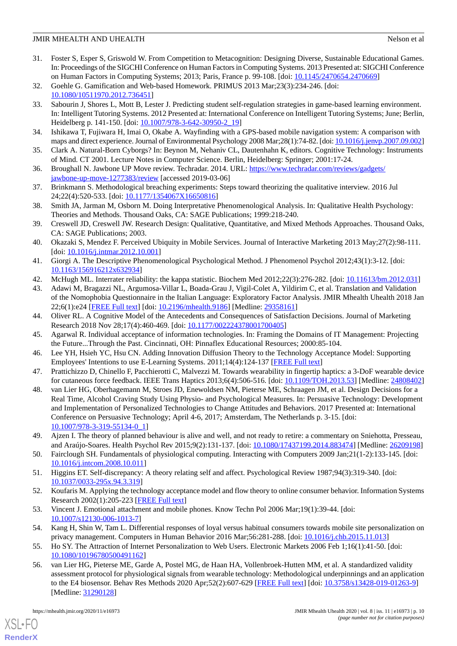- <span id="page-10-0"></span>31. Foster S, Esper S, Griswold W. From Competition to Metacognition: Designing Diverse, Sustainable Educational Games. In: Proceedings of the SIGCHI Conference on Human Factors in Computing Systems. 2013 Presented at: SIGCHI Conference on Human Factors in Computing Systems; 2013; Paris, France p. 99-108. [doi: [10.1145/2470654.2470669\]](http://dx.doi.org/10.1145/2470654.2470669)
- <span id="page-10-1"></span>32. Goehle G. Gamification and Web-based Homework. PRIMUS 2013 Mar;23(3):234-246. [doi: [10.1080/10511970.2012.736451\]](http://dx.doi.org/10.1080/10511970.2012.736451)
- 33. Sabourin J, Shores L, Mott B, Lester J. Predicting student self-regulation strategies in game-based learning environment. In: Intelligent Tutoring Systems. 2012 Presented at: International Conference on Intelligent Tutoring Systems; June; Berlin, Heidelberg p. 141-150. [doi: [10.1007/978-3-642-30950-2\\_19\]](http://dx.doi.org/10.1007/978-3-642-30950-2_19)
- <span id="page-10-3"></span><span id="page-10-2"></span>34. Ishikawa T, Fujiwara H, Imai O, Okabe A. Wayfinding with a GPS-based mobile navigation system: A comparison with maps and direct experience. Journal of Environmental Psychology 2008 Mar;28(1):74-82. [doi: [10.1016/j.jenvp.2007.09.002\]](http://dx.doi.org/10.1016/j.jenvp.2007.09.002)
- <span id="page-10-4"></span>35. Clark A. Natural-Born Cyborgs? In: Beynon M, Nehaniv CL, Dautenhahn K, editors. Cognitive Technology: Instruments of Mind. CT 2001. Lecture Notes in Computer Science. Berlin, Heidelberg: Springer; 2001:17-24.
- <span id="page-10-5"></span>36. Broughall N. Jawbone UP Move review. Techradar. 2014. URL: [https://www.techradar.com/reviews/gadgets/](https://www.techradar.com/reviews/gadgets/jawbone-up-move-1277383/review) [jawbone-up-move-1277383/review](https://www.techradar.com/reviews/gadgets/jawbone-up-move-1277383/review) [accessed 2019-03-06]
- <span id="page-10-6"></span>37. Brinkmann S. Methodological breaching experiments: Steps toward theorizing the qualitative interview. 2016 Jul 24;22(4):520-533. [doi: [10.1177/1354067X16650816\]](http://dx.doi.org/10.1177/1354067X16650816)
- <span id="page-10-7"></span>38. Smith JA, Jarman M, Osborn M. Doing Interpretative Phenomenological Analysis. In: Qualitative Health Psychology: Theories and Methods. Thousand Oaks, CA: SAGE Publications; 1999:218-240.
- <span id="page-10-8"></span>39. Creswell JD, Creswell JW. Research Design: Qualitative, Quantitative, and Mixed Methods Approaches. Thousand Oaks, CA: SAGE Publications; 2003.
- <span id="page-10-9"></span>40. Okazaki S, Mendez F. Perceived Ubiquity in Mobile Services. Journal of Interactive Marketing 2013 May;27(2):98-111. [doi: [10.1016/j.intmar.2012.10.001](http://dx.doi.org/10.1016/j.intmar.2012.10.001)]
- <span id="page-10-11"></span><span id="page-10-10"></span>41. Giorgi A. The Descriptive Phenomenological Psychological Method. J Phenomenol Psychol 2012;43(1):3-12. [doi: [10.1163/156916212x632934\]](http://dx.doi.org/10.1163/156916212x632934)
- 42. McHugh ML. Interrater reliability: the kappa statistic. Biochem Med 2012;22(3):276-282. [doi: [10.11613/bm.2012.031](http://dx.doi.org/10.11613/bm.2012.031)]

<span id="page-10-13"></span><span id="page-10-12"></span>43. Adawi M, Bragazzi NL, Argumosa-Villar L, Boada-Grau J, Vigil-Colet A, Yildirim C, et al. Translation and Validation of the Nomophobia Questionnaire in the Italian Language: Exploratory Factor Analysis. JMIR Mhealth Uhealth 2018 Jan 22;6(1):e24 [\[FREE Full text](https://mhealth.jmir.org/2018/1/e24/)] [doi: [10.2196/mhealth.9186\]](http://dx.doi.org/10.2196/mhealth.9186) [Medline: [29358161](http://www.ncbi.nlm.nih.gov/entrez/query.fcgi?cmd=Retrieve&db=PubMed&list_uids=29358161&dopt=Abstract)]

- <span id="page-10-14"></span>44. Oliver RL. A Cognitive Model of the Antecedents and Consequences of Satisfaction Decisions. Journal of Marketing Research 2018 Nov 28;17(4):460-469. [doi: [10.1177/002224378001700405\]](http://dx.doi.org/10.1177/002224378001700405)
- <span id="page-10-15"></span>45. Agarwal R. Individual acceptance of information technologies. In: Framing the Domains of IT Management: Projecting the Future...Through the Past. Cincinnati, OH: Pinnaflex Educational Resources; 2000:85-104.
- <span id="page-10-16"></span>46. Lee YH, Hsieh YC, Hsu CN. Adding Innovation Diffusion Theory to the Technology Acceptance Model: Supporting Employees' Intentions to use E-Learning Systems. 2011;14(4):124-137 [\[FREE Full text\]](https://www.jstor.org/stable/pdf/jeductechsoci.14.4.124.pdf)
- 47. Prattichizzo D, Chinello F, Pacchierotti C, Malvezzi M. Towards wearability in fingertip haptics: a 3-DoF wearable device for cutaneous force feedback. IEEE Trans Haptics 2013;6(4):506-516. [doi: [10.1109/TOH.2013.53\]](http://dx.doi.org/10.1109/TOH.2013.53) [Medline: [24808402](http://www.ncbi.nlm.nih.gov/entrez/query.fcgi?cmd=Retrieve&db=PubMed&list_uids=24808402&dopt=Abstract)]
- <span id="page-10-18"></span><span id="page-10-17"></span>48. van Lier HG, Oberhagemann M, Stroes JD, Enewoldsen NM, Pieterse ME, Schraagen JM, et al. Design Decisions for a Real Time, Alcohol Craving Study Using Physio- and Psychological Measures. In: Persuasive Technology: Development and Implementation of Personalized Technologies to Change Attitudes and Behaviors. 2017 Presented at: International Conference on Persuasive Technology; April 4-6, 2017; Amsterdam, The Netherlands p. 3-15. [doi: [10.1007/978-3-319-55134-0\\_1](http://dx.doi.org/10.1007/978-3-319-55134-0_1)]
- <span id="page-10-20"></span><span id="page-10-19"></span>49. Ajzen I. The theory of planned behaviour is alive and well, and not ready to retire: a commentary on Sniehotta, Presseau, and Araújo-Soares. Health Psychol Rev 2015;9(2):131-137. [doi: [10.1080/17437199.2014.883474](http://dx.doi.org/10.1080/17437199.2014.883474)] [Medline: [26209198\]](http://www.ncbi.nlm.nih.gov/entrez/query.fcgi?cmd=Retrieve&db=PubMed&list_uids=26209198&dopt=Abstract)
- <span id="page-10-21"></span>50. Fairclough SH. Fundamentals of physiological computing. Interacting with Computers 2009 Jan;21(1-2):133-145. [doi: [10.1016/j.intcom.2008.10.011](http://dx.doi.org/10.1016/j.intcom.2008.10.011)]
- <span id="page-10-22"></span>51. Higgins ET. Self-discrepancy: A theory relating self and affect. Psychological Review 1987;94(3):319-340. [doi: [10.1037/0033-295x.94.3.319\]](http://dx.doi.org/10.1037/0033-295x.94.3.319)
- <span id="page-10-23"></span>52. Koufaris M. Applying the technology acceptance model and flow theory to online consumer behavior. Information Systems Research 2002(1):205-223 [\[FREE Full text\]](https://www.jstor.org/stable/23011056?seq=1)
- <span id="page-10-24"></span>53. Vincent J. Emotional attachment and mobile phones. Know Techn Pol 2006 Mar;19(1):39-44. [doi: [10.1007/s12130-006-1013-7\]](http://dx.doi.org/10.1007/s12130-006-1013-7)
- 54. Kang H, Shin W, Tam L. Differential responses of loyal versus habitual consumers towards mobile site personalization on privacy management. Computers in Human Behavior 2016 Mar;56:281-288. [doi: [10.1016/j.chb.2015.11.013\]](http://dx.doi.org/10.1016/j.chb.2015.11.013)
- 55. Ho SY. The Attraction of Internet Personalization to Web Users. Electronic Markets 2006 Feb 1;16(1):41-50. [doi: [10.1080/10196780500491162\]](http://dx.doi.org/10.1080/10196780500491162)
- 56. van Lier HG, Pieterse ME, Garde A, Postel MG, de Haan HA, Vollenbroek-Hutten MM, et al. A standardized validity assessment protocol for physiological signals from wearable technology: Methodological underpinnings and an application to the E4 biosensor. Behav Res Methods 2020 Apr;52(2):607-629 [\[FREE Full text\]](http://europepmc.org/abstract/MED/31290128) [doi: [10.3758/s13428-019-01263-9\]](http://dx.doi.org/10.3758/s13428-019-01263-9) [Medline: [31290128](http://www.ncbi.nlm.nih.gov/entrez/query.fcgi?cmd=Retrieve&db=PubMed&list_uids=31290128&dopt=Abstract)]

[XSL](http://www.w3.org/Style/XSL)•FO **[RenderX](http://www.renderx.com/)**